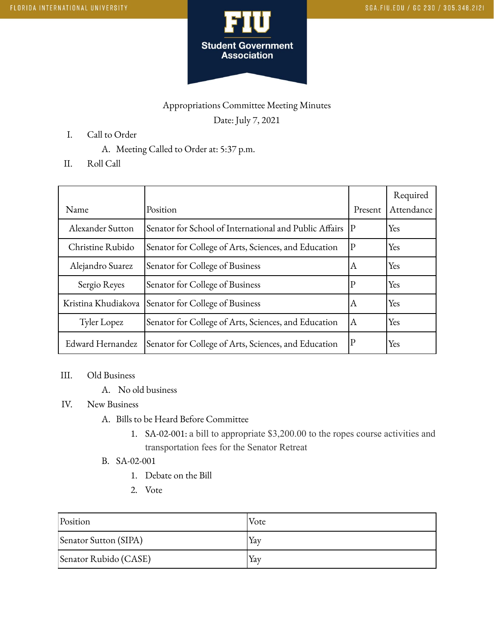

## Appropriations Committee Meeting Minutes Date: July 7, 2021

- I. Call to Order
	- A. Meeting Called to Order at: 5:37 p.m.
- II. Roll Call

| Name                | Position                                                  | Present | Required<br>Attendance |
|---------------------|-----------------------------------------------------------|---------|------------------------|
| Alexander Sutton    | Senator for School of International and Public Affairs  P |         | Yes                    |
| Christine Rubido    | Senator for College of Arts, Sciences, and Education      | P       | Yes                    |
| Alejandro Suarez    | Senator for College of Business                           | А       | Yes                    |
| Sergio Reyes        | Senator for College of Business                           | Р       | Yes                    |
| Kristina Khudiakova | Senator for College of Business                           | Α       | Yes                    |
| Tyler Lopez         | Senator for College of Arts, Sciences, and Education      | ΙA      | Yes                    |
| Edward Hernandez    | Senator for College of Arts, Sciences, and Education      |         | Yes                    |

## III. Old Business

A. No old business

## IV. New Business

- A. Bills to be Heard Before Committee
	- 1. SA-02-001: a bill to appropriate \$3,200.00 to the ropes course activities and transportation fees for the Senator Retreat
- B. SA-02-001
	- 1. Debate on the Bill
	- 2. Vote

| Position              | Vote |
|-----------------------|------|
| Senator Sutton (SIPA) | Yav  |
| Senator Rubido (CASE) | Yav  |